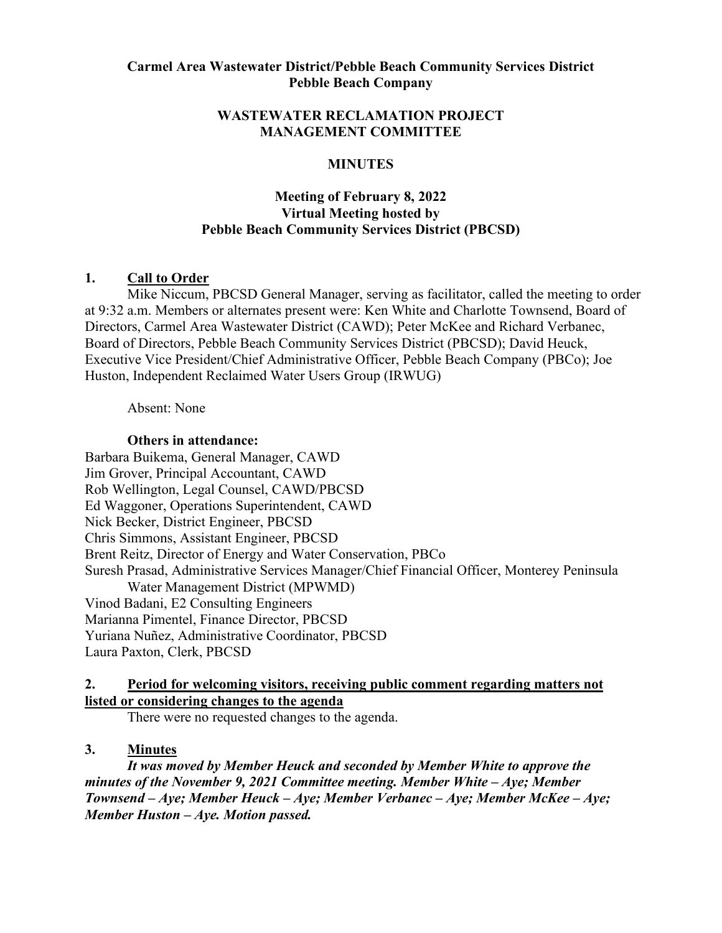### **Carmel Area Wastewater District/Pebble Beach Community Services District Pebble Beach Company**

### **WASTEWATER RECLAMATION PROJECT MANAGEMENT COMMITTEE**

### **MINUTES**

# **Meeting of February 8, 2022 Virtual Meeting hosted by Pebble Beach Community Services District (PBCSD)**

### **1. Call to Order**

Mike Niccum, PBCSD General Manager, serving as facilitator, called the meeting to order at 9:32 a.m. Members or alternates present were: Ken White and Charlotte Townsend, Board of Directors, Carmel Area Wastewater District (CAWD); Peter McKee and Richard Verbanec, Board of Directors, Pebble Beach Community Services District (PBCSD); David Heuck, Executive Vice President/Chief Administrative Officer, Pebble Beach Company (PBCo); Joe Huston, Independent Reclaimed Water Users Group (IRWUG)

Absent: None

#### **Others in attendance:**

Barbara Buikema, General Manager, CAWD Jim Grover, Principal Accountant, CAWD Rob Wellington, Legal Counsel, CAWD/PBCSD Ed Waggoner, Operations Superintendent, CAWD Nick Becker, District Engineer, PBCSD Chris Simmons, Assistant Engineer, PBCSD Brent Reitz, Director of Energy and Water Conservation, PBCo Suresh Prasad, Administrative Services Manager/Chief Financial Officer, Monterey Peninsula Water Management District (MPWMD) Vinod Badani, E2 Consulting Engineers Marianna Pimentel, Finance Director, PBCSD Yuriana Nuñez, Administrative Coordinator, PBCSD Laura Paxton, Clerk, PBCSD

## **2. Period for welcoming visitors, receiving public comment regarding matters not listed or considering changes to the agenda**

There were no requested changes to the agenda.

## **3. Minutes**

*It was moved by Member Heuck and seconded by Member White to approve the minutes of the November 9, 2021 Committee meeting. Member White – Aye; Member Townsend – Aye; Member Heuck – Aye; Member Verbanec – Aye; Member McKee – Aye; Member Huston – Aye. Motion passed.*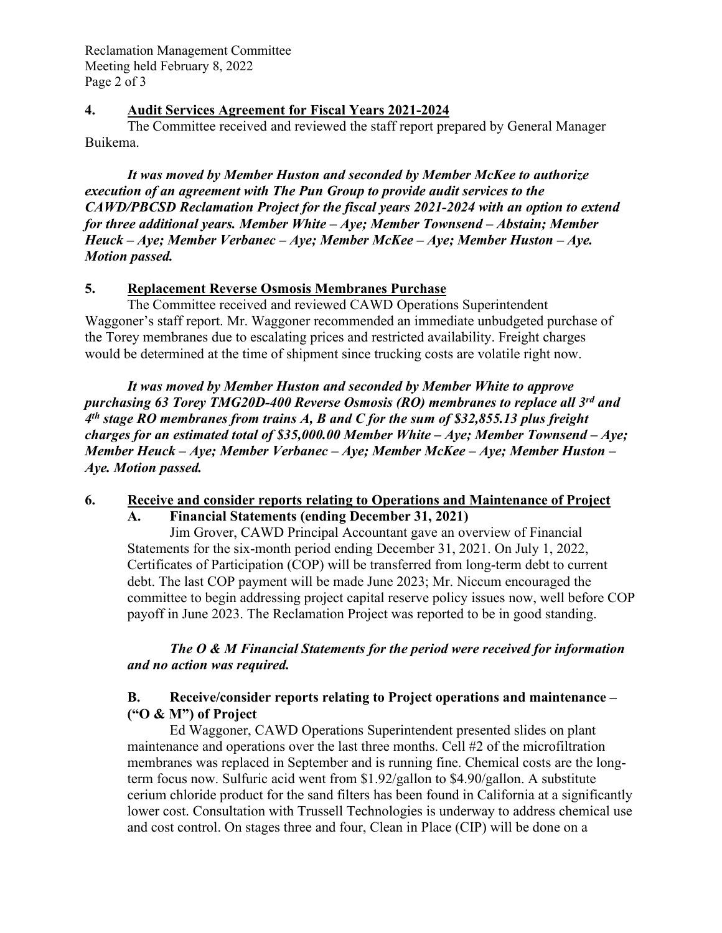### **4. Audit Services Agreement for Fiscal Years 2021-2024**

The Committee received and reviewed the staff report prepared by General Manager Buikema.

*It was moved by Member Huston and seconded by Member McKee to authorize execution of an agreement with The Pun Group to provide audit services to the CAWD/PBCSD Reclamation Project for the fiscal years 2021-2024 with an option to extend for three additional years. Member White – Aye; Member Townsend – Abstain; Member Heuck – Aye; Member Verbanec – Aye; Member McKee – Aye; Member Huston – Aye. Motion passed.* 

# **5. Replacement Reverse Osmosis Membranes Purchase**

The Committee received and reviewed CAWD Operations Superintendent Waggoner's staff report. Mr. Waggoner recommended an immediate unbudgeted purchase of the Torey membranes due to escalating prices and restricted availability. Freight charges would be determined at the time of shipment since trucking costs are volatile right now.

*It was moved by Member Huston and seconded by Member White to approve purchasing 63 Torey TMG20D-400 Reverse Osmosis (RO) membranes to replace all 3rd and 4th stage RO membranes from trains A, B and C for the sum of \$32,855.13 plus freight charges for an estimated total of \$35,000.00 Member White – Aye; Member Townsend – Aye; Member Heuck – Aye; Member Verbanec – Aye; Member McKee – Aye; Member Huston – Aye. Motion passed.* 

#### **6. Receive and consider reports relating to Operations and Maintenance of Project A. Financial Statements (ending December 31, 2021)**

Jim Grover, CAWD Principal Accountant gave an overview of Financial Statements for the six-month period ending December 31, 2021. On July 1, 2022, Certificates of Participation (COP) will be transferred from long-term debt to current debt. The last COP payment will be made June 2023; Mr. Niccum encouraged the committee to begin addressing project capital reserve policy issues now, well before COP payoff in June 2023. The Reclamation Project was reported to be in good standing.

*The O & M Financial Statements for the period were received for information and no action was required.* 

# **B. Receive/consider reports relating to Project operations and maintenance – ("O & M") of Project**

Ed Waggoner, CAWD Operations Superintendent presented slides on plant maintenance and operations over the last three months. Cell #2 of the microfiltration membranes was replaced in September and is running fine. Chemical costs are the longterm focus now. Sulfuric acid went from \$1.92/gallon to \$4.90/gallon. A substitute cerium chloride product for the sand filters has been found in California at a significantly lower cost. Consultation with Trussell Technologies is underway to address chemical use and cost control. On stages three and four, Clean in Place (CIP) will be done on a